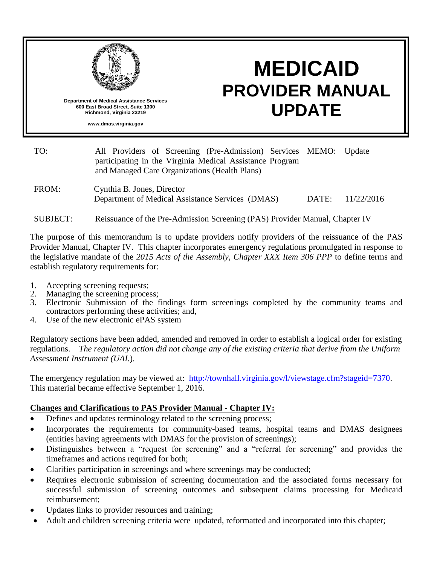

# **MEDICAID PROVIDER MANUAL UPDATE**

**Department of Medical Assistance Services 600 East Broad Street, Suite 1300 Richmond, Virginia 23219**

**www.dmas.virginia.gov**

| TO:             | All Providers of Screening (Pre-Admission) Services MEMO: Update<br>participating in the Virginia Medical Assistance Program<br>and Managed Care Organizations (Health Plans) |       |            |
|-----------------|-------------------------------------------------------------------------------------------------------------------------------------------------------------------------------|-------|------------|
| FROM:           | Cynthia B. Jones, Director<br>Department of Medical Assistance Services (DMAS)                                                                                                | DATE: | 11/22/2016 |
| <b>SUBJECT:</b> | Reissuance of the Pre-Admission Screening (PAS) Provider Manual, Chapter IV                                                                                                   |       |            |

The purpose of this memorandum is to update providers notify providers of the reissuance of the PAS Provider Manual, Chapter IV. This chapter incorporates emergency regulations promulgated in response to the legislative mandate of the *2015 Acts of the Assembly, Chapter XXX Item 306 PPP* to define terms and establish regulatory requirements for:

- 1. Accepting screening requests;
- 2. Managing the screening process;
- 3. Electronic Submission of the findings form screenings completed by the community teams and contractors performing these activities; and,
- 4. Use of the new electronic ePAS system

Regulatory sections have been added, amended and removed in order to establish a logical order for existing regulations. *The regulatory action did not change any of the existing criteria that derive from the Uniform Assessment Instrument (UAI.*).

The emergency regulation may be viewed at: [http://townhall.virginia.gov/l/viewstage.cfm?stageid=7370.](http://townhall.virginia.gov/l/viewstage.cfm?stageid=7370) This material became effective September 1, 2016.

## **Changes and Clarifications to PAS Provider Manual - Chapter IV:**

- Defines and updates terminology related to the screening process;
- Incorporates the requirements for community-based teams, hospital teams and DMAS designees (entities having agreements with DMAS for the provision of screenings);
- Distinguishes between a "request for screening" and a "referral for screening" and provides the timeframes and actions required for both;
- Clarifies participation in screenings and where screenings may be conducted;
- Requires electronic submission of screening documentation and the associated forms necessary for successful submission of screening outcomes and subsequent claims processing for Medicaid reimbursement;
- Updates links to provider resources and training;
- Adult and children screening criteria were updated, reformatted and incorporated into this chapter;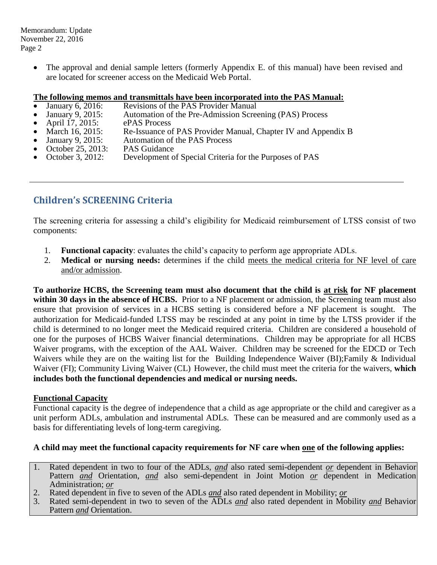• The approval and denial sample letters (formerly Appendix E. of this manual) have been revised and are located for screener access on the Medicaid Web Portal.

## **The following memos and transmittals have been incorporated into the PAS Manual:**

- January 6, 2016: Revisions of the PAS Provider Manual<br>January 9, 2015: Automation of the Pre-Admission Screen
- January 9, 2015: Automation of the Pre-Admission Screening (PAS) Process
- 
- April 17, 2015: ePAS Process<br>March 16, 2015: Re-Issuance of March 16, 2015: Re-Issuance of PAS Provider Manual, Chapter IV and Appendix B January 9, 2015: Automation of the PAS Process
- Automation of the PAS Process
- October 25, 2013: PAS Guidance<br>October 3, 2012: Development o
- Development of Special Criteria for the Purposes of PAS

# **Children's SCREENING Criteria**

The screening criteria for assessing a child's eligibility for Medicaid reimbursement of LTSS consist of two components:

- 1. **Functional capacity**: evaluates the child's capacity to perform age appropriate ADLs.
- 2. **Medical or nursing needs:** determines if the child meets the medical criteria for NF level of care and/or admission.

**To authorize HCBS, the Screening team must also document that the child is at risk for NF placement within 30 days in the absence of HCBS.** Prior to a NF placement or admission, the Screening team must also ensure that provision of services in a HCBS setting is considered before a NF placement is sought. The authorization for Medicaid-funded LTSS may be rescinded at any point in time by the LTSS provider if the child is determined to no longer meet the Medicaid required criteria. Children are considered a household of one for the purposes of HCBS Waiver financial determinations. Children may be appropriate for all HCBS Waiver programs, with the exception of the AAL Waiver. Children may be screened for the EDCD or Tech Waivers while they are on the waiting list for the Building Independence Waiver (BI); Family & Individual Waiver (FI); Community Living Waiver (CL) However, the child must meet the criteria for the waivers, **which includes both the functional dependencies and medical or nursing needs.**

## **Functional Capacity**

Functional capacity is the degree of independence that a child as age appropriate or the child and caregiver as a unit perform ADLs, ambulation and instrumental ADLs. These can be measured and are commonly used as a basis for differentiating levels of long-term caregiving.

## **A child may meet the functional capacity requirements for NF care when one of the following applies:**

- 1. Rated dependent in two to four of the ADLs, *and* also rated semi-dependent *or* dependent in Behavior Pattern *and* Orientation, *and* also semi-dependent in Joint Motion *or* dependent in Medication Administration; *or*
- 2. Rated dependent in five to seven of the ADLs *and* also rated dependent in Mobility; *or*
- 3. Rated semi-dependent in two to seven of the ADLs *and* also rated dependent in Mobility *and* Behavior Pattern *and* Orientation.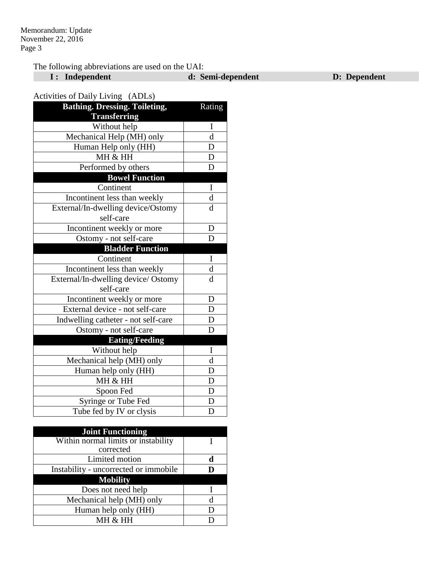The following abbreviations are used on the UAI:

| I: Independent<br>D: Dependent<br>d: Semi-dependent |
|-----------------------------------------------------|
|-----------------------------------------------------|

Activities of Daily Living (ADLs)

| <b>Bathing. Dressing. Toileting,</b><br><b>Transferring</b> | Rating                  |
|-------------------------------------------------------------|-------------------------|
| Without help                                                | I                       |
| Mechanical Help (MH) only                                   | $\overline{\mathrm{d}}$ |
| Human Help only (HH)                                        | D                       |
| MH & HH                                                     | D                       |
| Performed by others                                         | D                       |
| <b>Bowel Function</b>                                       |                         |
| Continent                                                   | I                       |
| Incontinent less than weekly                                | d                       |
| External/In-dwelling device/Ostomy                          | d                       |
| self-care                                                   |                         |
| Incontinent weekly or more                                  | D                       |
| Ostomy - not self-care                                      | D                       |
| <b>Bladder Function</b>                                     |                         |
| Continent                                                   | I                       |
| Incontinent less than weekly                                | d                       |
| External/In-dwelling device/ Ostomy                         | d                       |
| self-care                                                   |                         |
| Incontinent weekly or more                                  | D                       |
| External device - not self-care                             | D                       |
| Indwelling catheter - not self-care                         | D                       |
| Ostomy - not self-care                                      | D                       |
| <b>Eating/Feeding</b>                                       |                         |
| Without help                                                | I                       |
| Mechanical help (MH) only                                   | $\mathbf d$             |
| Human help only (HH)                                        | D                       |
| MH & HH                                                     | D                       |
| Spoon Fed                                                   | D                       |
| Syringe or Tube Fed                                         | D                       |
| Tube fed by IV or clysis                                    | D                       |

| <b>Joint Functioning</b>              |  |
|---------------------------------------|--|
| Within normal limits or instability   |  |
| corrected                             |  |
| Limited motion                        |  |
| Instability - uncorrected or immobile |  |
| <b>Mobility</b>                       |  |
| Does not need help                    |  |
| Mechanical help (MH) only             |  |
| Human help only (HH)                  |  |
| MH & HH                               |  |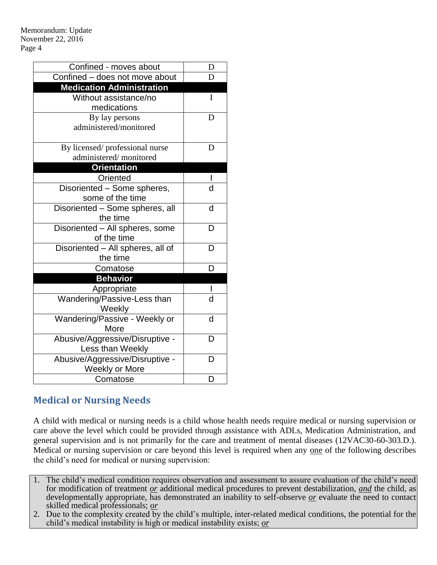| Confined - moves about                | D |
|---------------------------------------|---|
| Confined - does not move about        | D |
| <b>Medication Administration</b>      |   |
| Without assistance/no                 | I |
| medications                           |   |
| By lay persons                        | D |
| administered/monitored                |   |
| By licensed/professional nurse        | D |
| administered/monitored                |   |
| <b>Orientation</b>                    |   |
| Oriented                              |   |
| Disoriented - Some spheres,           | d |
| some of the time                      |   |
| Disoriented - Some spheres, all       | d |
| the time                              |   |
| Disoriented - All spheres, some       | D |
| of the time                           |   |
| Disoriented - All spheres, all of     | D |
| the time                              |   |
| Comatose                              | D |
| <b>Behavior</b>                       |   |
| Appropriate                           |   |
| Wandering/Passive-Less than           | d |
| Weekly                                |   |
| Wandering/Passive - Weekly or<br>More | d |
| Abusive/Aggressive/Disruptive -       | D |
| Less than Weekly                      |   |
| Abusive/Aggressive/Disruptive -       |   |
| Weekly or More                        |   |
| Comatose                              | D |

# **Medical or Nursing Needs**

A child with medical or nursing needs is a child whose health needs require medical or nursing supervision or care above the level which could be provided through assistance with ADLs, Medication Administration, and general supervision and is not primarily for the care and treatment of mental diseases (12VAC30-60-303.D.). Medical or nursing supervision or care beyond this level is required when any one of the following describes the child's need for medical or nursing supervision:

- 1. The child's medical condition requires observation and assessment to assure evaluation of the child's need for modification of treatment *or* additional medical procedures to prevent destabilization, *and* the child, as developmentally appropriate, has demonstrated an inability to self-observe *or* evaluate the need to contact skilled medical professionals; *or*
- 2. Due to the complexity created by the child's multiple, inter-related medical conditions, the potential for the child's medical instability is high or medical instability exists; *or*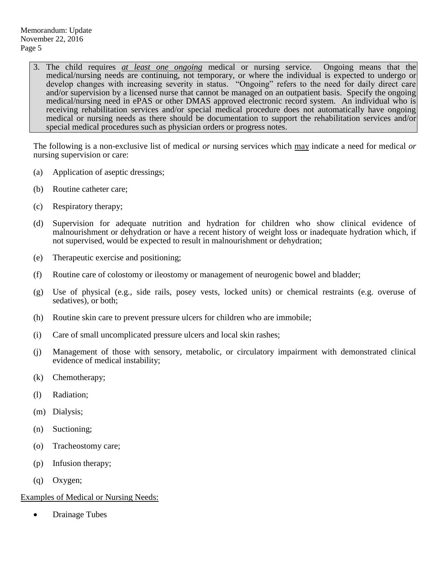3. The child requires *at least one ongoing* medical or nursing service. Ongoing means that the medical/nursing needs are continuing, not temporary, or where the individual is expected to undergo or develop changes with increasing severity in status. "Ongoing" refers to the need for daily direct care and/or supervision by a licensed nurse that cannot be managed on an outpatient basis. Specify the ongoing medical/nursing need in ePAS or other DMAS approved electronic record system. An individual who is receiving rehabilitation services and/or special medical procedure does not automatically have ongoing medical or nursing needs as there should be documentation to support the rehabilitation services and/or special medical procedures such as physician orders or progress notes.

The following is a non-exclusive list of medical *or* nursing services which may indicate a need for medical *or* nursing supervision or care:

- (a) Application of aseptic dressings;
- (b) Routine catheter care;
- (c) Respiratory therapy;
- (d) Supervision for adequate nutrition and hydration for children who show clinical evidence of malnourishment or dehydration or have a recent history of weight loss or inadequate hydration which, if not supervised, would be expected to result in malnourishment or dehydration;
- (e) Therapeutic exercise and positioning;
- (f) Routine care of colostomy or ileostomy or management of neurogenic bowel and bladder;
- (g) Use of physical (e.g., side rails, posey vests, locked units) or chemical restraints (e.g. overuse of sedatives), or both;
- (h) Routine skin care to prevent pressure ulcers for children who are immobile;
- (i) Care of small uncomplicated pressure ulcers and local skin rashes;
- (j) Management of those with sensory, metabolic, or circulatory impairment with demonstrated clinical evidence of medical instability;
- (k) Chemotherapy;
- (l) Radiation;
- (m) Dialysis;
- (n) Suctioning;
- (o) Tracheostomy care;
- (p) Infusion therapy;
- (q) Oxygen;

## Examples of Medical or Nursing Needs:

Drainage Tubes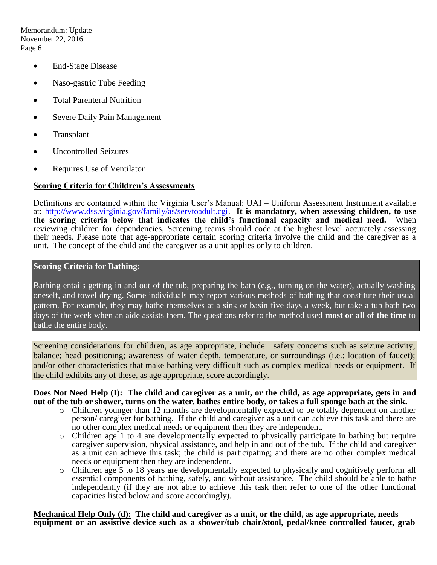Memorandum: Update November 22, 2016 Page 6

- End-Stage Disease
- Naso-gastric Tube Feeding
- Total Parenteral Nutrition
- Severe Daily Pain Management
- Transplant
- Uncontrolled Seizures
- Requires Use of Ventilator

## **Scoring Criteria for Children's Assessments**

Definitions are contained within the Virginia User's Manual: UAI – Uniform Assessment Instrument available at: [http://www.dss.virginia.gov/family/as/servtoadult.cgi.](http://www.dss.virginia.gov/family/as/servtoadult.cgi) **It is mandatory, when assessing children, to use the scoring criteria below that indicates the child's functional capacity and medical need.** When reviewing children for dependencies, Screening teams should code at the highest level accurately assessing their needs. Please note that age-appropriate certain scoring criteria involve the child and the caregiver as a unit. The concept of the child and the caregiver as a unit applies only to children.

## **Scoring Criteria for Bathing:**

Bathing entails getting in and out of the tub, preparing the bath (e.g., turning on the water), actually washing oneself, and towel drying. Some individuals may report various methods of bathing that constitute their usual pattern. For example, they may bathe themselves at a sink or basin five days a week, but take a tub bath two days of the week when an aide assists them. The questions refer to the method used **most or all of the time** to bathe the entire body.

Screening considerations for children, as age appropriate, include: safety concerns such as seizure activity; balance; head positioning; awareness of water depth, temperature, or surroundings (i.e.: location of faucet); and/or other characteristics that make bathing very difficult such as complex medical needs or equipment. If the child exhibits any of these, as age appropriate, score accordingly.

#### **Does Not Need Help (I): The child and caregiver as a unit, or the child, as age appropriate, gets in and out of the tub or shower, turns on the water, bathes entire body, or takes a full sponge bath at the sink.**

- o Children younger than 12 months are developmentally expected to be totally dependent on another person/ caregiver for bathing. If the child and caregiver as a unit can achieve this task and there are no other complex medical needs or equipment then they are independent.
- o Children age 1 to 4 are developmentally expected to physically participate in bathing but require caregiver supervision, physical assistance, and help in and out of the tub. If the child and caregiver as a unit can achieve this task; the child is participating; and there are no other complex medical needs or equipment then they are independent.
- o Children age 5 to 18 years are developmentally expected to physically and cognitively perform all essential components of bathing, safely, and without assistance. The child should be able to bathe independently (if they are not able to achieve this task then refer to one of the other functional capacities listed below and score accordingly).

**Mechanical Help Only (d): The child and caregiver as a unit, or the child, as age appropriate, needs equipment or an assistive device such as a shower/tub chair/stool, pedal/knee controlled faucet, grab**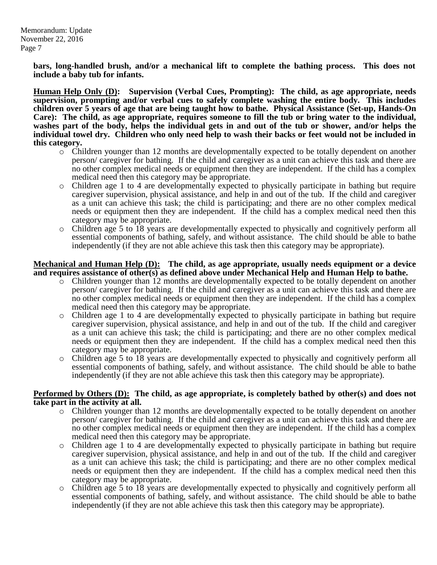Memorandum: Update November 22, 2016 Page 7

> **bars, long-handled brush, and/or a mechanical lift to complete the bathing process. This does not include a baby tub for infants.**

> **Human Help Only (D): Supervision (Verbal Cues, Prompting): The child, as age appropriate, needs supervision, prompting and/or verbal cues to safely complete washing the entire body. This includes children over 5 years of age that are being taught how to bathe. Physical Assistance (Set-up, Hands-On Care): The child, as age appropriate, requires someone to fill the tub or bring water to the individual, washes part of the body, helps the individual gets in and out of the tub or shower, and/or helps the individual towel dry. Children who only need help to wash their backs or feet would not be included in this category.**

- o Children younger than 12 months are developmentally expected to be totally dependent on another person/ caregiver for bathing. If the child and caregiver as a unit can achieve this task and there are no other complex medical needs or equipment then they are independent. If the child has a complex medical need then this category may be appropriate.
- o Children age 1 to 4 are developmentally expected to physically participate in bathing but require caregiver supervision, physical assistance, and help in and out of the tub. If the child and caregiver as a unit can achieve this task; the child is participating; and there are no other complex medical needs or equipment then they are independent. If the child has a complex medical need then this category may be appropriate.
- o Children age 5 to 18 years are developmentally expected to physically and cognitively perform all essential components of bathing, safely, and without assistance. The child should be able to bathe independently (if they are not able achieve this task then this category may be appropriate).

#### **Mechanical and Human Help (D): The child, as age appropriate, usually needs equipment or a device and requires assistance of other(s) as defined above under Mechanical Help and Human Help to bathe.**

- o Children younger than 12 months are developmentally expected to be totally dependent on another person/ caregiver for bathing. If the child and caregiver as a unit can achieve this task and there are no other complex medical needs or equipment then they are independent. If the child has a complex medical need then this category may be appropriate.
- o Children age 1 to 4 are developmentally expected to physically participate in bathing but require caregiver supervision, physical assistance, and help in and out of the tub. If the child and caregiver as a unit can achieve this task; the child is participating; and there are no other complex medical needs or equipment then they are independent. If the child has a complex medical need then this category may be appropriate.
- o Children age 5 to 18 years are developmentally expected to physically and cognitively perform all essential components of bathing, safely, and without assistance. The child should be able to bathe independently (if they are not able achieve this task then this category may be appropriate).

#### **Performed by Others (D): The child, as age appropriate, is completely bathed by other(s) and does not take part in the activity at all.**

- o Children younger than 12 months are developmentally expected to be totally dependent on another person/ caregiver for bathing. If the child and caregiver as a unit can achieve this task and there are no other complex medical needs or equipment then they are independent. If the child has a complex medical need then this category may be appropriate.
- o Children age 1 to 4 are developmentally expected to physically participate in bathing but require caregiver supervision, physical assistance, and help in and out of the tub. If the child and caregiver as a unit can achieve this task; the child is participating; and there are no other complex medical needs or equipment then they are independent. If the child has a complex medical need then this category may be appropriate.
- o Children age 5 to 18 years are developmentally expected to physically and cognitively perform all essential components of bathing, safely, and without assistance. The child should be able to bathe independently (if they are not able achieve this task then this category may be appropriate).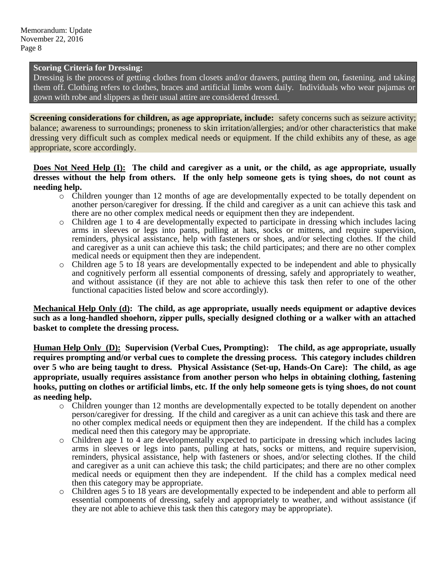## **Scoring Criteria for Dressing:**

Dressing is the process of getting clothes from closets and/or drawers, putting them on, fastening, and taking them off. Clothing refers to clothes, braces and artificial limbs worn daily. Individuals who wear pajamas or gown with robe and slippers as their usual attire are considered dressed.

**Screening considerations for children, as age appropriate, include:** safety concerns such as seizure activity; balance; awareness to surroundings; proneness to skin irritation/allergies; and/or other characteristics that make dressing very difficult such as complex medical needs or equipment. If the child exhibits any of these, as age appropriate, score accordingly.

## **Does Not Need Help (I): The child and caregiver as a unit, or the child, as age appropriate, usually dresses without the help from others. If the only help someone gets is tying shoes, do not count as needing help.**

- o Children younger than 12 months of age are developmentally expected to be totally dependent on another person/caregiver for dressing. If the child and caregiver as a unit can achieve this task and there are no other complex medical needs or equipment then they are independent.
- o Children age 1 to 4 are developmentally expected to participate in dressing which includes lacing arms in sleeves or legs into pants, pulling at hats, socks or mittens, and require supervision, reminders, physical assistance, help with fasteners or shoes, and/or selecting clothes. If the child and caregiver as a unit can achieve this task; the child participates; and there are no other complex medical needs or equipment then they are independent.
- o Children age 5 to 18 years are developmentally expected to be independent and able to physically and cognitively perform all essential components of dressing, safely and appropriately to weather, and without assistance (if they are not able to achieve this task then refer to one of the other functional capacities listed below and score accordingly).

**Mechanical Help Only (d): The child, as age appropriate, usually needs equipment or adaptive devices such as a long-handled shoehorn, zipper pulls, specially designed clothing or a walker with an attached basket to complete the dressing process.**

**Human Help Only (D): Supervision (Verbal Cues, Prompting): The child, as age appropriate, usually requires prompting and/or verbal cues to complete the dressing process. This category includes children over 5 who are being taught to dress. Physical Assistance (Set-up, Hands-On Care): The child, as age appropriate, usually requires assistance from another person who helps in obtaining clothing, fastening hooks, putting on clothes or artificial limbs, etc. If the only help someone gets is tying shoes, do not count as needing help.**

- o Children younger than 12 months are developmentally expected to be totally dependent on another person/caregiver for dressing. If the child and caregiver as a unit can achieve this task and there are no other complex medical needs or equipment then they are independent. If the child has a complex medical need then this category may be appropriate.
- o Children age 1 to 4 are developmentally expected to participate in dressing which includes lacing arms in sleeves or legs into pants, pulling at hats, socks or mittens, and require supervision, reminders, physical assistance, help with fasteners or shoes, and/or selecting clothes. If the child and caregiver as a unit can achieve this task; the child participates; and there are no other complex medical needs or equipment then they are independent. If the child has a complex medical need then this category may be appropriate.
- o Children ages 5 to 18 years are developmentally expected to be independent and able to perform all essential components of dressing, safely and appropriately to weather, and without assistance (if they are not able to achieve this task then this category may be appropriate).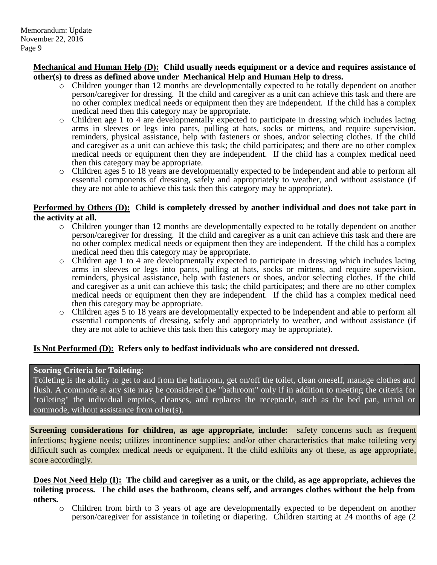## **Mechanical and Human Help (D): Child usually needs equipment or a device and requires assistance of other(s) to dress as defined above under Mechanical Help and Human Help to dress.**

- o Children younger than 12 months are developmentally expected to be totally dependent on another person/caregiver for dressing. If the child and caregiver as a unit can achieve this task and there are no other complex medical needs or equipment then they are independent. If the child has a complex medical need then this category may be appropriate.
- o Children age 1 to 4 are developmentally expected to participate in dressing which includes lacing arms in sleeves or legs into pants, pulling at hats, socks or mittens, and require supervision, reminders, physical assistance, help with fasteners or shoes, and/or selecting clothes. If the child and caregiver as a unit can achieve this task; the child participates; and there are no other complex medical needs or equipment then they are independent. If the child has a complex medical need then this category may be appropriate.
- o Children ages 5 to 18 years are developmentally expected to be independent and able to perform all essential components of dressing, safely and appropriately to weather, and without assistance (if they are not able to achieve this task then this category may be appropriate).

## **Performed by Others (D): Child is completely dressed by another individual and does not take part in the activity at all.**

- o Children younger than 12 months are developmentally expected to be totally dependent on another person/caregiver for dressing. If the child and caregiver as a unit can achieve this task and there are no other complex medical needs or equipment then they are independent. If the child has a complex medical need then this category may be appropriate.
- o Children age 1 to 4 are developmentally expected to participate in dressing which includes lacing arms in sleeves or legs into pants, pulling at hats, socks or mittens, and require supervision, reminders, physical assistance, help with fasteners or shoes, and/or selecting clothes. If the child and caregiver as a unit can achieve this task; the child participates; and there are no other complex medical needs or equipment then they are independent. If the child has a complex medical need then this category may be appropriate.
- o Children ages 5 to 18 years are developmentally expected to be independent and able to perform all essential components of dressing, safely and appropriately to weather, and without assistance (if they are not able to achieve this task then this category may be appropriate).

## **Is Not Performed (D): Refers only to bedfast individuals who are considered not dressed.**

## **Scoring Criteria for Toileting:**

Toileting is the ability to get to and from the bathroom, get on/off the toilet, clean oneself, manage clothes and flush. A commode at any site may be considered the "bathroom" only if in addition to meeting the criteria for "toileting" the individual empties, cleanses, and replaces the receptacle, such as the bed pan, urinal or commode, without assistance from other(s).

**Screening considerations for children, as age appropriate, include:** safety concerns such as frequent infections; hygiene needs; utilizes incontinence supplies; and/or other characteristics that make toileting very difficult such as complex medical needs or equipment. If the child exhibits any of these, as age appropriate, score accordingly.

**Does Not Need Help (I): The child and caregiver as a unit, or the child, as age appropriate, achieves the toileting process. The child uses the bathroom, cleans self, and arranges clothes without the help from others.**

o Children from birth to 3 years of age are developmentally expected to be dependent on another person/caregiver for assistance in toileting or diapering. Children starting at 24 months of age (2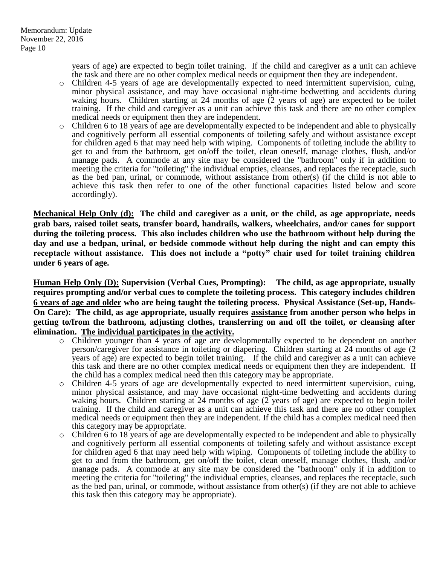years of age) are expected to begin toilet training. If the child and caregiver as a unit can achieve the task and there are no other complex medical needs or equipment then they are independent.

- o Children 4-5 years of age are developmentally expected to need intermittent supervision, cuing, minor physical assistance, and may have occasional night-time bedwetting and accidents during waking hours. Children starting at 24 months of age (2 years of age) are expected to be toilet training. If the child and caregiver as a unit can achieve this task and there are no other complex medical needs or equipment then they are independent.
- o Children 6 to 18 years of age are developmentally expected to be independent and able to physically and cognitively perform all essential components of toileting safely and without assistance except for children aged 6 that may need help with wiping. Components of toileting include the ability to get to and from the bathroom, get on/off the toilet, clean oneself, manage clothes, flush, and/or manage pads. A commode at any site may be considered the "bathroom" only if in addition to meeting the criteria for "toileting" the individual empties, cleanses, and replaces the receptacle, such as the bed pan, urinal, or commode, without assistance from other(s) (if the child is not able to achieve this task then refer to one of the other functional capacities listed below and score accordingly).

**Mechanical Help Only (d): The child and caregiver as a unit, or the child, as age appropriate, needs grab bars, raised toilet seats, transfer board, handrails, walkers, wheelchairs, and/or canes for support during the toileting process. This also includes children who use the bathroom without help during the day and use a bedpan, urinal, or bedside commode without help during the night and can empty this receptacle without assistance. This does not include a "potty" chair used for toilet training children under 6 years of age.** 

**Human Help Only (D): Supervision (Verbal Cues, Prompting): The child, as age appropriate, usually requires prompting and/or verbal cues to complete the toileting process. This category includes children 6 years of age and older who are being taught the toileting process. Physical Assistance (Set-up, Hands-On Care): The child, as age appropriate, usually requires assistance from another person who helps in getting to/from the bathroom, adjusting clothes, transferring on and off the toilet, or cleansing after elimination. The individual participates in the activity.**

- o Children younger than 4 years of age are developmentally expected to be dependent on another person/caregiver for assistance in toileting or diapering. Children starting at 24 months of age (2 years of age) are expected to begin toilet training. If the child and caregiver as a unit can achieve this task and there are no other complex medical needs or equipment then they are independent. If the child has a complex medical need then this category may be appropriate.
- o Children 4-5 years of age are developmentally expected to need intermittent supervision, cuing, minor physical assistance, and may have occasional night-time bedwetting and accidents during waking hours. Children starting at 24 months of age (2 years of age) are expected to begin toilet training. If the child and caregiver as a unit can achieve this task and there are no other complex medical needs or equipment then they are independent. If the child has a complex medical need then this category may be appropriate.
- o Children 6 to 18 years of age are developmentally expected to be independent and able to physically and cognitively perform all essential components of toileting safely and without assistance except for children aged 6 that may need help with wiping. Components of toileting include the ability to get to and from the bathroom, get on/off the toilet, clean oneself, manage clothes, flush, and/or manage pads. A commode at any site may be considered the "bathroom" only if in addition to meeting the criteria for "toileting" the individual empties, cleanses, and replaces the receptacle, such as the bed pan, urinal, or commode, without assistance from other(s) (if they are not able to achieve this task then this category may be appropriate).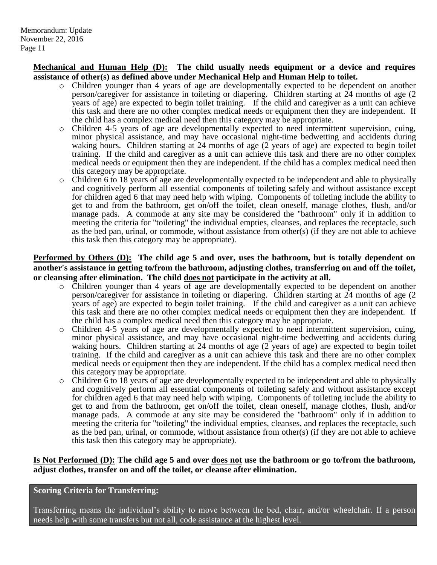## **Mechanical and Human Help (D): The child usually needs equipment or a device and requires assistance of other(s) as defined above under Mechanical Help and Human Help to toilet.**

- o Children younger than 4 years of age are developmentally expected to be dependent on another person/caregiver for assistance in toileting or diapering. Children starting at 24 months of age (2 years of age) are expected to begin toilet training. If the child and caregiver as a unit can achieve this task and there are no other complex medical needs or equipment then they are independent. If the child has a complex medical need then this category may be appropriate.
- o Children 4-5 years of age are developmentally expected to need intermittent supervision, cuing, minor physical assistance, and may have occasional night-time bedwetting and accidents during waking hours. Children starting at 24 months of age (2 years of age) are expected to begin toilet training. If the child and caregiver as a unit can achieve this task and there are no other complex medical needs or equipment then they are independent. If the child has a complex medical need then this category may be appropriate.
- o Children 6 to 18 years of age are developmentally expected to be independent and able to physically and cognitively perform all essential components of toileting safely and without assistance except for children aged 6 that may need help with wiping. Components of toileting include the ability to get to and from the bathroom, get on/off the toilet, clean oneself, manage clothes, flush, and/or manage pads. A commode at any site may be considered the "bathroom" only if in addition to meeting the criteria for "toileting" the individual empties, cleanses, and replaces the receptacle, such as the bed pan, urinal, or commode, without assistance from other(s) (if they are not able to achieve this task then this category may be appropriate).

## **Performed by Others (D): The child age 5 and over, uses the bathroom, but is totally dependent on another's assistance in getting to/from the bathroom, adjusting clothes, transferring on and off the toilet, or cleansing after elimination. The child does not participate in the activity at all.**

- $\circ$  Children younger than 4 years of age are developmentally expected to be dependent on another person/caregiver for assistance in toileting or diapering. Children starting at 24 months of age (2 years of age) are expected to begin toilet training. If the child and caregiver as a unit can achieve this task and there are no other complex medical needs or equipment then they are independent. If the child has a complex medical need then this category may be appropriate.
- o Children 4-5 years of age are developmentally expected to need intermittent supervision, cuing, minor physical assistance, and may have occasional night-time bedwetting and accidents during waking hours. Children starting at 24 months of age  $(2)$  years of age) are expected to begin toilet training. If the child and caregiver as a unit can achieve this task and there are no other complex medical needs or equipment then they are independent. If the child has a complex medical need then this category may be appropriate.
- $\circ$  Children 6 to 18 years of age are developmentally expected to be independent and able to physically and cognitively perform all essential components of toileting safely and without assistance except for children aged 6 that may need help with wiping. Components of toileting include the ability to get to and from the bathroom, get on/off the toilet, clean oneself, manage clothes, flush, and/or manage pads. A commode at any site may be considered the "bathroom" only if in addition to meeting the criteria for "toileting" the individual empties, cleanses, and replaces the receptacle, such as the bed pan, urinal, or commode, without assistance from other(s) (if they are not able to achieve this task then this category may be appropriate).

## **Is Not Performed (D): The child age 5 and over does not use the bathroom or go to/from the bathroom, adjust clothes, transfer on and off the toilet, or cleanse after elimination.**

## **Scoring Criteria for Transferring:**

Transferring means the individual's ability to move between the bed, chair, and/or wheelchair. If a person needs help with some transfers but not all, code assistance at the highest level.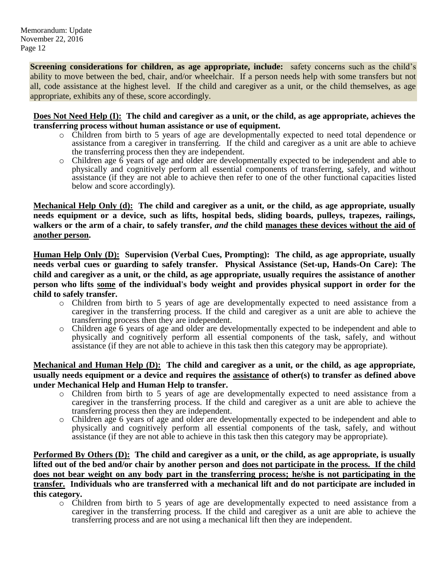**Screening considerations for children, as age appropriate, include:** safety concerns such as the child's ability to move between the bed, chair, and/or wheelchair. If a person needs help with some transfers but not all, code assistance at the highest level. If the child and caregiver as a unit, or the child themselves, as age appropriate, exhibits any of these, score accordingly.

**Does Not Need Help (I): The child and caregiver as a unit, or the child, as age appropriate, achieves the transferring process without human assistance or use of equipment.**

- o Children from birth to 5 years of age are developmentally expected to need total dependence or assistance from a caregiver in transferring. If the child and caregiver as a unit are able to achieve the transferring process then they are independent.
- o Children age 6 years of age and older are developmentally expected to be independent and able to physically and cognitively perform all essential components of transferring, safely, and without assistance (if they are not able to achieve then refer to one of the other functional capacities listed below and score accordingly).

**Mechanical Help Only (d): The child and caregiver as a unit, or the child, as age appropriate, usually needs equipment or a device, such as lifts, hospital beds, sliding boards, pulleys, trapezes, railings, walkers or the arm of a chair, to safely transfer,** *and* **the child manages these devices without the aid of another person.**

**Human Help Only (D): Supervision (Verbal Cues, Prompting): The child, as age appropriate, usually needs verbal cues or guarding to safely transfer. Physical Assistance (Set-up, Hands-On Care): The child and caregiver as a unit, or the child, as age appropriate, usually requires the assistance of another person who lifts some of the individual's body weight and provides physical support in order for the child to safely transfer.**

- o Children from birth to 5 years of age are developmentally expected to need assistance from a caregiver in the transferring process. If the child and caregiver as a unit are able to achieve the transferring process then they are independent.
- o Children age 6 years of age and older are developmentally expected to be independent and able to physically and cognitively perform all essential components of the task, safely, and without assistance (if they are not able to achieve in this task then this category may be appropriate).

**Mechanical and Human Help (D): The child and caregiver as a unit, or the child, as age appropriate, usually needs equipment or a device and requires the assistance of other(s) to transfer as defined above under Mechanical Help and Human Help to transfer.**

- o Children from birth to 5 years of age are developmentally expected to need assistance from a caregiver in the transferring process. If the child and caregiver as a unit are able to achieve the transferring process then they are independent.
- o Children age 6 years of age and older are developmentally expected to be independent and able to physically and cognitively perform all essential components of the task, safely, and without assistance (if they are not able to achieve in this task then this category may be appropriate).

**Performed By Others (D): The child and caregiver as a unit, or the child, as age appropriate, is usually lifted out of the bed and/or chair by another person and does not participate in the process. If the child does not bear weight on any body part in the transferring process; he/she is not participating in the transfer. Individuals who are transferred with a mechanical lift and do not participate are included in this category.**

o Children from birth to 5 years of age are developmentally expected to need assistance from a caregiver in the transferring process. If the child and caregiver as a unit are able to achieve the transferring process and are not using a mechanical lift then they are independent.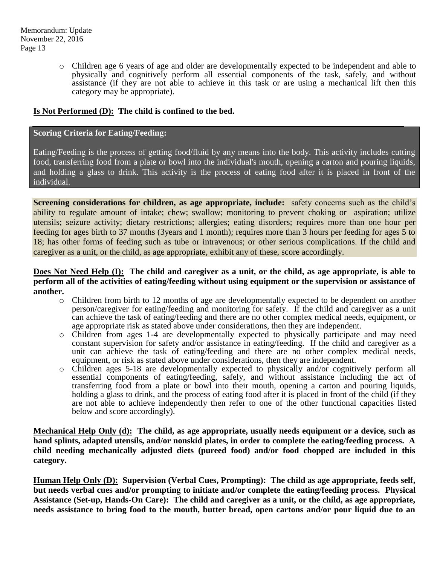o Children age 6 years of age and older are developmentally expected to be independent and able to physically and cognitively perform all essential components of the task, safely, and without assistance (if they are not able to achieve in this task or are using a mechanical lift then this category may be appropriate).

## **Is Not Performed (D): The child is confined to the bed.**

#### **Scoring Criteria for Eating/Feeding:**

Eating/Feeding is the process of getting food/fluid by any means into the body. This activity includes cutting food, transferring food from a plate or bowl into the individual's mouth, opening a carton and pouring liquids, and holding a glass to drink. This activity is the process of eating food after it is placed in front of the individual.

**Screening considerations for children, as age appropriate, include:** safety concerns such as the child's ability to regulate amount of intake; chew; swallow; monitoring to prevent choking or aspiration; utilize utensils; seizure activity; dietary restrictions; allergies; eating disorders; requires more than one hour per feeding for ages birth to 37 months (3years and 1 month); requires more than 3 hours per feeding for ages 5 to 18; has other forms of feeding such as tube or intravenous; or other serious complications. If the child and caregiver as a unit, or the child, as age appropriate, exhibit any of these, score accordingly.

## **Does Not Need Help (I): The child and caregiver as a unit, or the child, as age appropriate, is able to perform all of the activities of eating/feeding without using equipment or the supervision or assistance of another.**

- o Children from birth to 12 months of age are developmentally expected to be dependent on another person/caregiver for eating/feeding and monitoring for safety. If the child and caregiver as a unit can achieve the task of eating/feeding and there are no other complex medical needs, equipment, or age appropriate risk as stated above under considerations, then they are independent.
- o Children from ages 1-4 are developmentally expected to physically participate and may need constant supervision for safety and/or assistance in eating/feeding. If the child and caregiver as a unit can achieve the task of eating/feeding and there are no other complex medical needs, equipment, or risk as stated above under considerations, then they are independent.
- o Children ages 5-18 are developmentally expected to physically and/or cognitively perform all essential components of eating/feeding, safely, and without assistance including the act of transferring food from a plate or bowl into their mouth, opening a carton and pouring liquids. holding a glass to drink, and the process of eating food after it is placed in front of the child (if they are not able to achieve independently then refer to one of the other functional capacities listed below and score accordingly).

**Mechanical Help Only (d): The child, as age appropriate, usually needs equipment or a device, such as hand splints, adapted utensils, and/or nonskid plates, in order to complete the eating/feeding process. A child needing mechanically adjusted diets (pureed food) and/or food chopped are included in this category.**

**Human Help Only (D): Supervision (Verbal Cues, Prompting): The child as age appropriate, feeds self, but needs verbal cues and/or prompting to initiate and/or complete the eating/feeding process. Physical Assistance (Set-up, Hands-On Care): The child and caregiver as a unit, or the child, as age appropriate, needs assistance to bring food to the mouth, butter bread, open cartons and/or pour liquid due to an**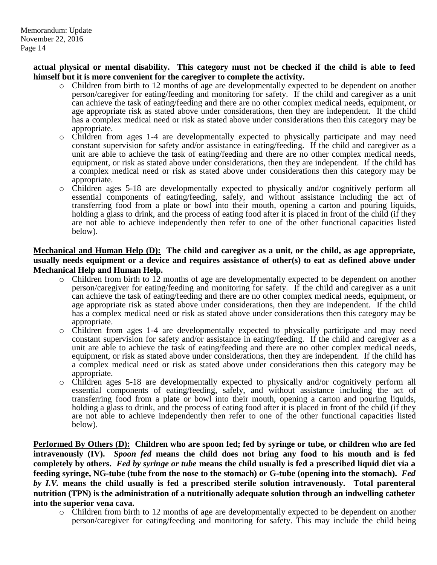## **actual physical or mental disability. This category must not be checked if the child is able to feed himself but it is more convenient for the caregiver to complete the activity.**

- o Children from birth to 12 months of age are developmentally expected to be dependent on another person/caregiver for eating/feeding and monitoring for safety. If the child and caregiver as a unit can achieve the task of eating/feeding and there are no other complex medical needs, equipment, or age appropriate risk as stated above under considerations, then they are independent. If the child has a complex medical need or risk as stated above under considerations then this category may be appropriate.
- o Children from ages 1-4 are developmentally expected to physically participate and may need constant supervision for safety and/or assistance in eating/feeding. If the child and caregiver as a unit are able to achieve the task of eating/feeding and there are no other complex medical needs, equipment, or risk as stated above under considerations, then they are independent. If the child has a complex medical need or risk as stated above under considerations then this category may be appropriate.
- o Children ages 5-18 are developmentally expected to physically and/or cognitively perform all essential components of eating/feeding, safely, and without assistance including the act of transferring food from a plate or bowl into their mouth, opening a carton and pouring liquids, holding a glass to drink, and the process of eating food after it is placed in front of the child (if they are not able to achieve independently then refer to one of the other functional capacities listed below).

## **Mechanical and Human Help (D): The child and caregiver as a unit, or the child, as age appropriate, usually needs equipment or a device and requires assistance of other(s) to eat as defined above under Mechanical Help and Human Help.**

- o Children from birth to 12 months of age are developmentally expected to be dependent on another person/caregiver for eating/feeding and monitoring for safety. If the child and caregiver as a unit can achieve the task of eating/feeding and there are no other complex medical needs, equipment, or age appropriate risk as stated above under considerations, then they are independent. If the child has a complex medical need or risk as stated above under considerations then this category may be appropriate.
- o Children from ages 1-4 are developmentally expected to physically participate and may need constant supervision for safety and/or assistance in eating/feeding. If the child and caregiver as a unit are able to achieve the task of eating/feeding and there are no other complex medical needs, equipment, or risk as stated above under considerations, then they are independent. If the child has a complex medical need or risk as stated above under considerations then this category may be appropriate.
- o Children ages 5-18 are developmentally expected to physically and/or cognitively perform all essential components of eating/feeding, safely, and without assistance including the act of transferring food from a plate or bowl into their mouth, opening a carton and pouring liquids, holding a glass to drink, and the process of eating food after it is placed in front of the child (if they are not able to achieve independently then refer to one of the other functional capacities listed below).

**Performed By Others (D): Children who are spoon fed; fed by syringe or tube, or children who are fed intravenously (IV).** *Spoon fed* **means the child does not bring any food to his mouth and is fed completely by others.** *Fed by syringe or tube* **means the child usually is fed a prescribed liquid diet via a feeding syringe, NG-tube (tube from the nose to the stomach) or G-tube (opening into the stomach).** *Fed by I.V.* **means the child usually is fed a prescribed sterile solution intravenously. Total parenteral nutrition (TPN) is the administration of a nutritionally adequate solution through an indwelling catheter into the superior vena cava.**

o Children from birth to 12 months of age are developmentally expected to be dependent on another person/caregiver for eating/feeding and monitoring for safety. This may include the child being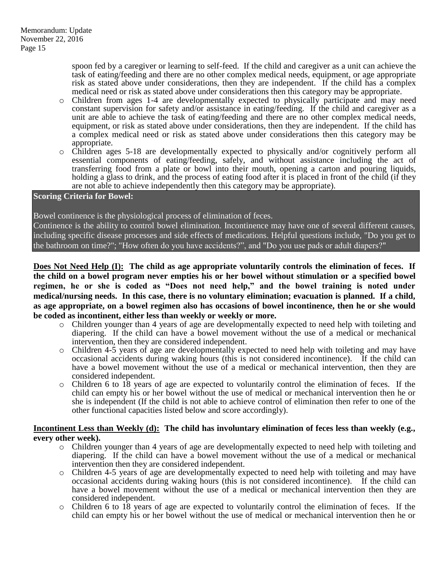spoon fed by a caregiver or learning to self-feed. If the child and caregiver as a unit can achieve the task of eating/feeding and there are no other complex medical needs, equipment, or age appropriate risk as stated above under considerations, then they are independent. If the child has a complex medical need or risk as stated above under considerations then this category may be appropriate.

- o Children from ages 1-4 are developmentally expected to physically participate and may need constant supervision for safety and/or assistance in eating/feeding. If the child and caregiver as a unit are able to achieve the task of eating/feeding and there are no other complex medical needs, equipment, or risk as stated above under considerations, then they are independent. If the child has a complex medical need or risk as stated above under considerations then this category may be appropriate.
- o Children ages 5-18 are developmentally expected to physically and/or cognitively perform all essential components of eating/feeding, safely, and without assistance including the act of transferring food from a plate or bowl into their mouth, opening a carton and pouring liquids, holding a glass to drink, and the process of eating food after it is placed in front of the child (if they are not able to achieve independently then this category may be appropriate).

## **Scoring Criteria for Bowel:**

Bowel continence is the physiological process of elimination of feces.

Continence is the ability to control bowel elimination. Incontinence may have one of several different causes, including specific disease processes and side effects of medications. Helpful questions include, "Do you get to the bathroom on time?"; "How often do you have accidents?", and "Do you use pads or adult diapers?"

**Does Not Need Help (I): The child as age appropriate voluntarily controls the elimination of feces. If the child on a bowel program never empties his or her bowel without stimulation or a specified bowel regimen, he or she is coded as "Does not need help," and the bowel training is noted under medical/nursing needs. In this case, there is no voluntary elimination; evacuation is planned. If a child, as age appropriate, on a bowel regimen also has occasions of bowel incontinence, then he or she would be coded as incontinent, either less than weekly or weekly or more.** 

- o Children younger than 4 years of age are developmentally expected to need help with toileting and diapering. If the child can have a bowel movement without the use of a medical or mechanical intervention, then they are considered independent.
- o Children 4-5 years of age are developmentally expected to need help with toileting and may have occasional accidents during waking hours (this is not considered incontinence). If the child can have a bowel movement without the use of a medical or mechanical intervention, then they are considered independent.
- o Children 6 to 18 years of age are expected to voluntarily control the elimination of feces. If the child can empty his or her bowel without the use of medical or mechanical intervention then he or she is independent (If the child is not able to achieve control of elimination then refer to one of the other functional capacities listed below and score accordingly).

## **Incontinent Less than Weekly (d): The child has involuntary elimination of feces less than weekly (e.g., every other week).**

- o Children younger than 4 years of age are developmentally expected to need help with toileting and diapering. If the child can have a bowel movement without the use of a medical or mechanical intervention then they are considered independent.
- o Children 4-5 years of age are developmentally expected to need help with toileting and may have occasional accidents during waking hours (this is not considered incontinence). If the child can have a bowel movement without the use of a medical or mechanical intervention then they are considered independent.
- o Children 6 to 18 years of age are expected to voluntarily control the elimination of feces. If the child can empty his or her bowel without the use of medical or mechanical intervention then he or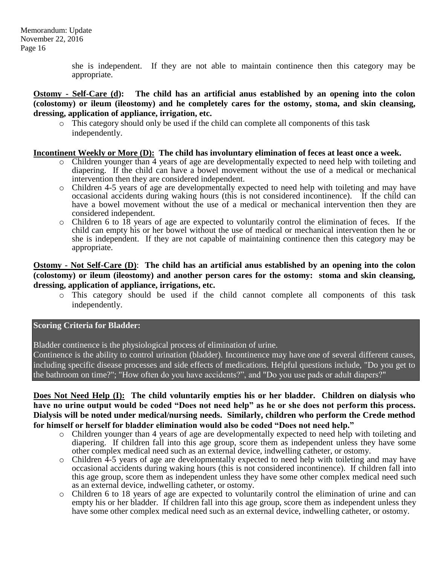she is independent. If they are not able to maintain continence then this category may be appropriate.

**Ostomy - Self-Care (d): The child has an artificial anus established by an opening into the colon (colostomy) or ileum (ileostomy) and he completely cares for the ostomy, stoma, and skin cleansing, dressing, application of appliance, irrigation, etc.** 

o This category should only be used if the child can complete all components of this task independently.

## **Incontinent Weekly or More (D): The child has involuntary elimination of feces at least once a week.**

- $\circ$  Children younger than 4 years of age are developmentally expected to need help with toileting and diapering. If the child can have a bowel movement without the use of a medical or mechanical intervention then they are considered independent.
- o Children 4-5 years of age are developmentally expected to need help with toileting and may have occasional accidents during waking hours (this is not considered incontinence). If the child can have a bowel movement without the use of a medical or mechanical intervention then they are considered independent.
- o Children 6 to 18 years of age are expected to voluntarily control the elimination of feces. If the child can empty his or her bowel without the use of medical or mechanical intervention then he or she is independent. If they are not capable of maintaining continence then this category may be appropriate.

**Ostomy - Not Self-Care (D)**: **The child has an artificial anus established by an opening into the colon (colostomy) or ileum (ileostomy) and another person cares for the ostomy: stoma and skin cleansing, dressing, application of appliance, irrigations, etc.**

o This category should be used if the child cannot complete all components of this task independently.

**Scoring Criteria for Bladder:** 

Bladder continence is the physiological process of elimination of urine.

Continence is the ability to control urination (bladder). Incontinence may have one of several different causes, including specific disease processes and side effects of medications. Helpful questions include, "Do you get to the bathroom on time?"; "How often do you have accidents?", and "Do you use pads or adult diapers?"

**Does Not Need Help (I): The child voluntarily empties his or her bladder. Children on dialysis who have no urine output would be coded "Does not need help" as he or she does not perform this process. Dialysis will be noted under medical/nursing needs. Similarly, children who perform the Crede method for himself or herself for bladder elimination would also be coded "Does not need help."** 

- o Children younger than 4 years of age are developmentally expected to need help with toileting and diapering. If children fall into this age group, score them as independent unless they have some other complex medical need such as an external device, indwelling catheter, or ostomy.
- o Children 4-5 years of age are developmentally expected to need help with toileting and may have occasional accidents during waking hours (this is not considered incontinence). If children fall into this age group, score them as independent unless they have some other complex medical need such as an external device, indwelling catheter, or ostomy.
- o Children 6 to 18 years of age are expected to voluntarily control the elimination of urine and can empty his or her bladder. If children fall into this age group, score them as independent unless they have some other complex medical need such as an external device, indwelling catheter, or ostomy.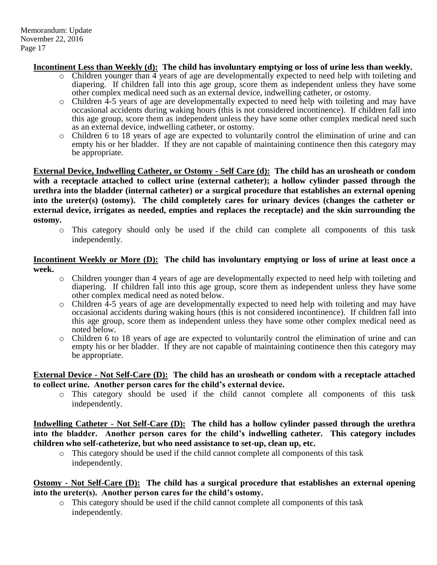## **Incontinent Less than Weekly (d): The child has involuntary emptying or loss of urine less than weekly.**

- $\circ$  Children younger than 4 years of age are developmentally expected to need help with toileting and diapering. If children fall into this age group, score them as independent unless they have some other complex medical need such as an external device, indwelling catheter, or ostomy.
- o Children 4-5 years of age are developmentally expected to need help with toileting and may have occasional accidents during waking hours (this is not considered incontinence). If children fall into this age group, score them as independent unless they have some other complex medical need such as an external device, indwelling catheter, or ostomy.
- o Children 6 to 18 years of age are expected to voluntarily control the elimination of urine and can empty his or her bladder. If they are not capable of maintaining continence then this category may be appropriate.

**External Device, Indwelling Catheter, or Ostomy - Self Care (d): The child has an urosheath or condom with a receptacle attached to collect urine (external catheter); a hollow cylinder passed through the urethra into the bladder (internal catheter) or a surgical procedure that establishes an external opening into the ureter(s) (ostomy). The child completely cares for urinary devices (changes the catheter or external device, irrigates as needed, empties and replaces the receptacle) and the skin surrounding the ostomy.** 

o This category should only be used if the child can complete all components of this task independently.

## **Incontinent Weekly or More (D): The child has involuntary emptying or loss of urine at least once a week.**

- o Children younger than 4 years of age are developmentally expected to need help with toileting and diapering. If children fall into this age group, score them as independent unless they have some other complex medical need as noted below.
- $\circ$  Children 4-5 years of age are developmentally expected to need help with toileting and may have occasional accidents during waking hours (this is not considered incontinence). If children fall into this age group, score them as independent unless they have some other complex medical need as noted below.
- o Children 6 to 18 years of age are expected to voluntarily control the elimination of urine and can empty his or her bladder. If they are not capable of maintaining continence then this category may be appropriate.

## **External Device - Not Self-Care (D): The child has an urosheath or condom with a receptacle attached to collect urine. Another person cares for the child's external device.**

o This category should be used if the child cannot complete all components of this task independently.

**Indwelling Catheter - Not Self-Care (D): The child has a hollow cylinder passed through the urethra into the bladder. Another person cares for the child's indwelling catheter. This category includes children who self-catheterize, but who need assistance to set-up, clean up, etc.**

 $\circ$  This category should be used if the child cannot complete all components of this task independently.

## **Ostomy - Not Self-Care (D): The child has a surgical procedure that establishes an external opening into the ureter(s). Another person cares for the child's ostomy.**

o This category should be used if the child cannot complete all components of this task independently.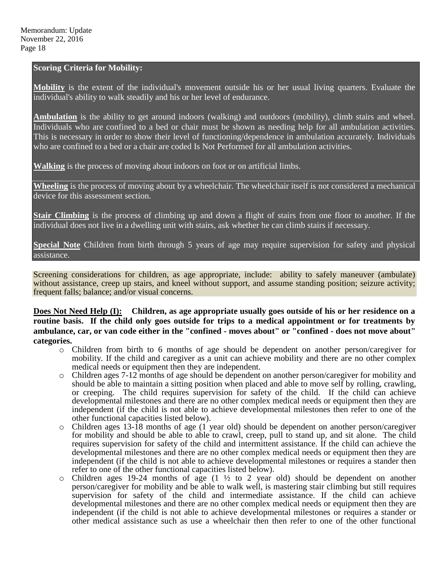#### **Scoring Criteria for Mobility:**

**Mobility** is the extent of the individual's movement outside his or her usual living quarters. Evaluate the individual's ability to walk steadily and his or her level of endurance.

**Ambulation** is the ability to get around indoors (walking) and outdoors (mobility), climb stairs and wheel. Individuals who are confined to a bed or chair must be shown as needing help for all ambulation activities. This is necessary in order to show their level of functioning/dependence in ambulation accurately. Individuals who are confined to a bed or a chair are coded Is Not Performed for all ambulation activities.

**Walking** is the process of moving about indoors on foot or on artificial limbs.

**Wheeling** is the process of moving about by a wheelchair. The wheelchair itself is not considered a mechanical device for this assessment section.

**Stair Climbing** is the process of climbing up and down a flight of stairs from one floor to another. If the individual does not live in a dwelling unit with stairs, ask whether he can climb stairs if necessary.

**Special Note** Children from birth through 5 years of age may require supervision for safety and physical assistance.

Screening considerations for children, as age appropriate, include: ability to safely maneuver (ambulate) without assistance, creep up stairs, and kneel without support, and assume standing position; seizure activity; frequent falls; balance; and/or visual concerns.

**Does Not Need Help (I): Children, as age appropriate usually goes outside of his or her residence on a routine basis. If the child only goes outside for trips to a medical appointment or for treatments by ambulance, car, or van code either in the "confined - moves about" or "confined - does not move about" categories.**

- o Children from birth to 6 months of age should be dependent on another person/caregiver for mobility. If the child and caregiver as a unit can achieve mobility and there are no other complex medical needs or equipment then they are independent.
- o Children ages 7-12 months of age should be dependent on another person/caregiver for mobility and should be able to maintain a sitting position when placed and able to move self by rolling, crawling, or creeping. The child requires supervision for safety of the child. If the child can achieve developmental milestones and there are no other complex medical needs or equipment then they are independent (if the child is not able to achieve developmental milestones then refer to one of the other functional capacities listed below).
- o Children ages 13-18 months of age (1 year old) should be dependent on another person/caregiver for mobility and should be able to able to crawl, creep, pull to stand up, and sit alone. The child requires supervision for safety of the child and intermittent assistance. If the child can achieve the developmental milestones and there are no other complex medical needs or equipment then they are independent (if the child is not able to achieve developmental milestones or requires a stander then refer to one of the other functional capacities listed below).
- $\circ$  Children ages 19-24 months of age (1  $\frac{1}{2}$  to 2 year old) should be dependent on another person/caregiver for mobility and be able to walk well, is mastering stair climbing but still requires supervision for safety of the child and intermediate assistance. If the child can achieve developmental milestones and there are no other complex medical needs or equipment then they are independent (if the child is not able to achieve developmental milestones or requires a stander or other medical assistance such as use a wheelchair then then refer to one of the other functional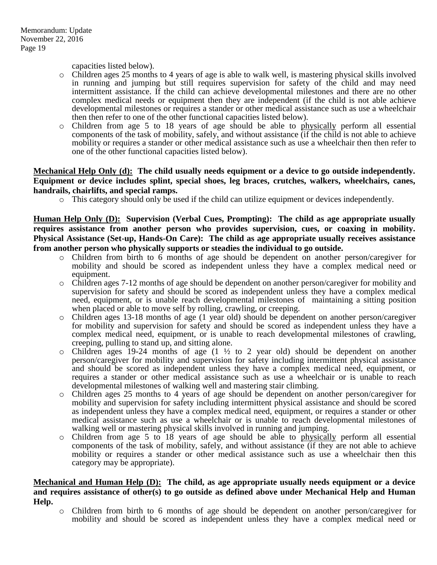capacities listed below).

- o Children ages 25 months to 4 years of age is able to walk well, is mastering physical skills involved in running and jumping but still requires supervision for safety of the child and may need intermittent assistance. If the child can achieve developmental milestones and there are no other complex medical needs or equipment then they are independent (if the child is not able achieve developmental milestones or requires a stander or other medical assistance such as use a wheelchair then then refer to one of the other functional capacities listed below).
- o Children from age 5 to 18 years of age should be able to physically perform all essential components of the task of mobility, safely, and without assistance (if the child is not able to achieve mobility or requires a stander or other medical assistance such as use a wheelchair then then refer to one of the other functional capacities listed below).

**Mechanical Help Only (d): The child usually needs equipment or a device to go outside independently. Equipment or device includes splint, special shoes, leg braces, crutches, walkers, wheelchairs, canes, handrails, chairlifts, and special ramps.**

o This category should only be used if the child can utilize equipment or devices independently.

**Human Help Only (D): Supervision (Verbal Cues, Prompting): The child as age appropriate usually requires assistance from another person who provides supervision, cues, or coaxing in mobility. Physical Assistance (Set-up, Hands-On Care): The child as age appropriate usually receives assistance from another person who physically supports or steadies the individual to go outside.**

- o Children from birth to 6 months of age should be dependent on another person/caregiver for mobility and should be scored as independent unless they have a complex medical need or equipment.
- o Children ages 7-12 months of age should be dependent on another person/caregiver for mobility and supervision for safety and should be scored as independent unless they have a complex medical need, equipment, or is unable reach developmental milestones of maintaining a sitting position when placed or able to move self by rolling, crawling, or creeping.
- o Children ages 13-18 months of age (1 year old) should be dependent on another person/caregiver for mobility and supervision for safety and should be scored as independent unless they have a complex medical need, equipment, or is unable to reach developmental milestones of crawling, creeping, pulling to stand up, and sitting alone.
- $\circ$  Children ages 19-24 months of age (1  $\frac{1}{2}$  to 2 year old) should be dependent on another person/caregiver for mobility and supervision for safety including intermittent physical assistance and should be scored as independent unless they have a complex medical need, equipment, or requires a stander or other medical assistance such as use a wheelchair or is unable to reach developmental milestones of walking well and mastering stair climbing.
- o Children ages 25 months to 4 years of age should be dependent on another person/caregiver for mobility and supervision for safety including intermittent physical assistance and should be scored as independent unless they have a complex medical need, equipment, or requires a stander or other medical assistance such as use a wheelchair or is unable to reach developmental milestones of walking well or mastering physical skills involved in running and jumping.
- o Children from age 5 to 18 years of age should be able to physically perform all essential components of the task of mobility, safely, and without assistance (if they are not able to achieve mobility or requires a stander or other medical assistance such as use a wheelchair then this category may be appropriate).

## **Mechanical and Human Help (D): The child, as age appropriate usually needs equipment or a device and requires assistance of other(s) to go outside as defined above under Mechanical Help and Human Help.**

o Children from birth to 6 months of age should be dependent on another person/caregiver for mobility and should be scored as independent unless they have a complex medical need or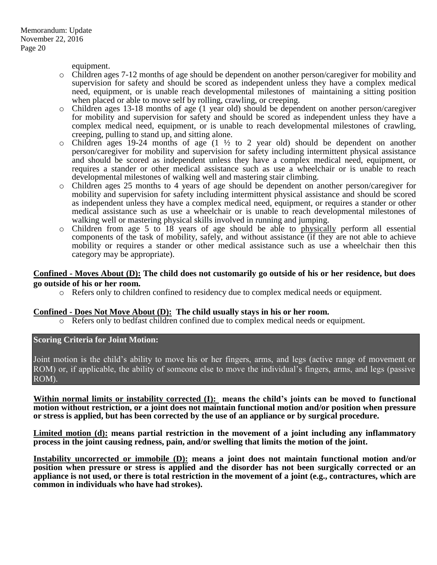equipment.

- o Children ages 7-12 months of age should be dependent on another person/caregiver for mobility and supervision for safety and should be scored as independent unless they have a complex medical need, equipment, or is unable reach developmental milestones of maintaining a sitting position when placed or able to move self by rolling, crawling, or creeping.
- o Children ages 13-18 months of age (1 year old) should be dependent on another person/caregiver for mobility and supervision for safety and should be scored as independent unless they have a complex medical need, equipment, or is unable to reach developmental milestones of crawling, creeping, pulling to stand up, and sitting alone.
- $\circ$  Children ages 19-24 months of age (1  $\frac{1}{2}$  to 2 year old) should be dependent on another person/caregiver for mobility and supervision for safety including intermittent physical assistance and should be scored as independent unless they have a complex medical need, equipment, or requires a stander or other medical assistance such as use a wheelchair or is unable to reach developmental milestones of walking well and mastering stair climbing.
- o Children ages 25 months to 4 years of age should be dependent on another person/caregiver for mobility and supervision for safety including intermittent physical assistance and should be scored as independent unless they have a complex medical need, equipment, or requires a stander or other medical assistance such as use a wheelchair or is unable to reach developmental milestones of walking well or mastering physical skills involved in running and jumping.
- o Children from age 5 to 18 years of age should be able to physically perform all essential components of the task of mobility, safely, and without assistance (if they are not able to achieve mobility or requires a stander or other medical assistance such as use a wheelchair then this category may be appropriate).

## **Confined - Moves About (D): The child does not customarily go outside of his or her residence, but does go outside of his or her room.**

o Refers only to children confined to residency due to complex medical needs or equipment.

#### **Confined - Does Not Move About (D): The child usually stays in his or her room.**

o Refers only to bedfast children confined due to complex medical needs or equipment.

**Scoring Criteria for Joint Motion:**

Joint motion is the child's ability to move his or her fingers, arms, and legs (active range of movement or ROM) or, if applicable, the ability of someone else to move the individual's fingers, arms, and legs (passive ROM).

**Within normal limits or instability corrected (I): means the child's joints can be moved to functional motion without restriction, or a joint does not maintain functional motion and/or position when pressure or stress is applied, but has been corrected by the use of an appliance or by surgical procedure.**

**Limited motion (d): means partial restriction in the movement of a joint including any inflammatory process in the joint causing redness, pain, and/or swelling that limits the motion of the joint.** 

**Instability uncorrected or immobile (D): means a joint does not maintain functional motion and/or position when pressure or stress is applied and the disorder has not been surgically corrected or an appliance is not used, or there is total restriction in the movement of a joint (e.g., contractures, which are common in individuals who have had strokes).**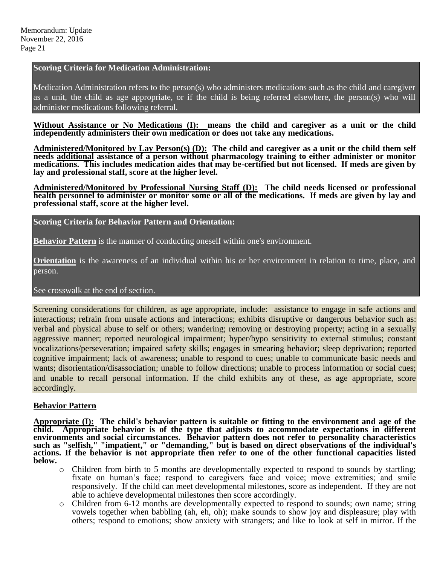#### **Scoring Criteria for Medication Administration:**

Medication Administration refers to the person(s) who administers medications such as the child and caregiver as a unit, the child as age appropriate, or if the child is being referred elsewhere, the person(s) who will administer medications following referral.

**Without Assistance or No Medications (I): means the child and caregiver as a unit or the child independently administers their own medication or does not take any medications.** 

**Administered/Monitored by Lay Person(s) (D): The child and caregiver as a unit or the child them self needs additional assistance of a person without pharmacology training to either administer or monitor medications. This includes medication aides that may be-certified but not licensed. If meds are given by lay and professional staff, score at the higher level.**

**Administered/Monitored by Professional Nursing Staff (D): The child needs licensed or professional health personnel to administer or monitor some or all of the medications. If meds are given by lay and professional staff, score at the higher level.**

#### **Scoring Criteria for Behavior Pattern and Orientation:**

**Behavior Pattern** is the manner of conducting oneself within one's environment.

**Orientation** is the awareness of an individual within his or her environment in relation to time, place, and person.

#### See crosswalk at the end of section.

Screening considerations for children, as age appropriate, include: assistance to engage in safe actions and interactions; refrain from unsafe actions and interactions; exhibits disruptive or dangerous behavior such as: verbal and physical abuse to self or others; wandering; removing or destroying property; acting in a sexually aggressive manner; reported neurological impairment; hyper/hypo sensitivity to external stimulus; constant vocalizations/perseveration; impaired safety skills; engages in smearing behavior; sleep deprivation; reported cognitive impairment; lack of awareness; unable to respond to cues; unable to communicate basic needs and wants; disorientation/disassociation; unable to follow directions; unable to process information or social cues; and unable to recall personal information. If the child exhibits any of these, as age appropriate, score accordingly.

#### **Behavior Pattern**

**Appropriate (I): The child's behavior pattern is suitable or fitting to the environment and age of the**  Appropriate behavior is of the type that adjusts to accommodate expectations in different **environments and social circumstances. Behavior pattern does not refer to personality characteristics such as "selfish," "impatient," or "demanding," but is based on direct observations of the individual's actions. If the behavior is not appropriate then refer to one of the other functional capacities listed below.**

- o Children from birth to 5 months are developmentally expected to respond to sounds by startling; fixate on human's face; respond to caregivers face and voice; move extremities; and smile responsively. If the child can meet developmental milestones, score as independent. If they are not able to achieve developmental milestones then score accordingly.
- o Children from 6-12 months are developmentally expected to respond to sounds; own name; string vowels together when babbling (ah, eh, oh); make sounds to show joy and displeasure; play with others; respond to emotions; show anxiety with strangers; and like to look at self in mirror. If the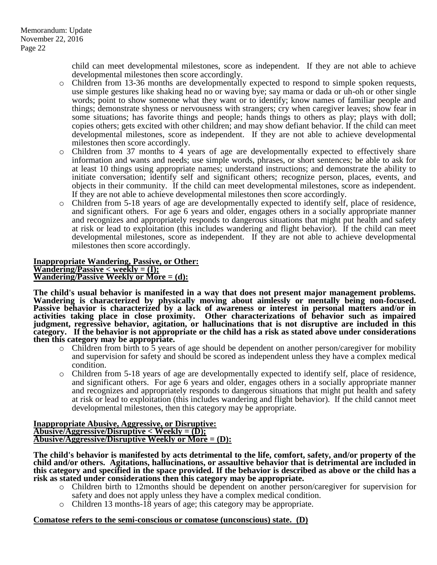child can meet developmental milestones, score as independent. If they are not able to achieve developmental milestones then score accordingly.

- o Children from 13-36 months are developmentally expected to respond to simple spoken requests, use simple gestures like shaking head no or waving bye; say mama or dada or uh-oh or other single words; point to show someone what they want or to identify; know names of familiar people and things; demonstrate shyness or nervousness with strangers; cry when caregiver leaves; show fear in some situations; has favorite things and people; hands things to others as play; plays with doll; copies others; gets excited with other children; and may show defiant behavior. If the child can meet developmental milestones, score as independent. If they are not able to achieve developmental milestones then score accordingly.
- o Children from 37 months to 4 years of age are developmentally expected to effectively share information and wants and needs; use simple words, phrases, or short sentences; be able to ask for at least 10 things using appropriate names; understand instructions; and demonstrate the ability to initiate conversation; identify self and significant others; recognize person, places, events, and objects in their community. If the child can meet developmental milestones, score as independent. If they are not able to achieve developmental milestones then score accordingly.
- o Children from 5-18 years of age are developmentally expected to identify self, place of residence, and significant others. For age 6 years and older, engages others in a socially appropriate manner and recognizes and appropriately responds to dangerous situations that might put health and safety at risk or lead to exploitation (this includes wandering and flight behavior). If the child can meet developmental milestones, score as independent. If they are not able to achieve developmental milestones then score accordingly.

#### **Inappropriate Wandering, Passive, or Other: Wandering/Passive < weekly = (I); Wandering/Passive Weekly or More = (d):**

**The child's usual behavior is manifested in a way that does not present major management problems. Wandering is characterized by physically moving about aimlessly or mentally being non-focused. Passive behavior is characterized by a lack of awareness or interest in personal matters and/or in activities taking place in close proximity. Other characterizations of behavior such as impaired judgment, regressive behavior, agitation, or hallucinations that is not disruptive are included in this category. If the behavior is not appropriate or the child has a risk as stated above under considerations then this category may be appropriate.** 

- o Children from birth to 5 years of age should be dependent on another person/caregiver for mobility and supervision for safety and should be scored as independent unless they have a complex medical condition.
- o Children from 5-18 years of age are developmentally expected to identify self, place of residence, and significant others. For age 6 years and older, engages others in a socially appropriate manner and recognizes and appropriately responds to dangerous situations that might put health and safety at risk or lead to exploitation (this includes wandering and flight behavior). If the child cannot meet developmental milestones, then this category may be appropriate.

#### **Inappropriate Abusive, Aggressive, or Disruptive: Abusive/Aggressive/Disruptive < Weekly = (D); Abusive/Aggressive/Disruptive Weekly or More = (D):**

**The child's behavior is manifested by acts detrimental to the life, comfort, safety, and/or property of the child and/or others. Agitations, hallucinations, or assaultive behavior that is detrimental are included in this category and specified in the space provided. If the behavior is described as above or the child has a risk as stated under considerations then this category may be appropriate.** 

- o Children birth to 12months should be dependent on another person/caregiver for supervision for safety and does not apply unless they have a complex medical condition.
- o Children 13 months-18 years of age; this category may be appropriate.

## **Comatose refers to the semi-conscious or comatose (unconscious) state. (D)**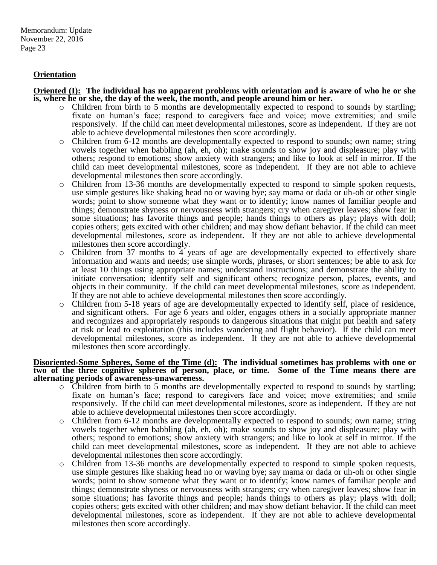## **Orientation**

#### **Oriented (I): The individual has no apparent problems with orientation and is aware of who he or she is, where he or she, the day of the week, the month, and people around him or her.**

- o Children from birth to 5 months are developmentally expected to respond to sounds by startling; fixate on human's face; respond to caregivers face and voice; move extremities; and smile responsively. If the child can meet developmental milestones, score as independent. If they are not able to achieve developmental milestones then score accordingly.
- o Children from 6-12 months are developmentally expected to respond to sounds; own name; string vowels together when babbling (ah, eh, oh); make sounds to show joy and displeasure; play with others; respond to emotions; show anxiety with strangers; and like to look at self in mirror. If the child can meet developmental milestones, score as independent. If they are not able to achieve developmental milestones then score accordingly.
- o Children from 13-36 months are developmentally expected to respond to simple spoken requests, use simple gestures like shaking head no or waving bye; say mama or dada or uh-oh or other single words; point to show someone what they want or to identify; know names of familiar people and things; demonstrate shyness or nervousness with strangers; cry when caregiver leaves; show fear in some situations; has favorite things and people; hands things to others as play; plays with doll; copies others; gets excited with other children; and may show defiant behavior. If the child can meet developmental milestones, score as independent. If they are not able to achieve developmental milestones then score accordingly.
- o Children from 37 months to 4 years of age are developmentally expected to effectively share information and wants and needs; use simple words, phrases, or short sentences; be able to ask for at least 10 things using appropriate names; understand instructions; and demonstrate the ability to initiate conversation; identify self and significant others; recognize person, places, events, and objects in their community. If the child can meet developmental milestones, score as independent. If they are not able to achieve developmental milestones then score accordingly.
- o Children from 5-18 years of age are developmentally expected to identify self, place of residence, and significant others. For age 6 years and older, engages others in a socially appropriate manner and recognizes and appropriately responds to dangerous situations that might put health and safety at risk or lead to exploitation (this includes wandering and flight behavior). If the child can meet developmental milestones, score as independent. If they are not able to achieve developmental milestones then score accordingly.

#### **Disoriented-Some Spheres, Some of the Time (d): The individual sometimes has problems with one or two of the three cognitive spheres of person, place, or time. Some of the Time means there are alternating periods of awareness-unawareness.**

- o Children from birth to 5 months are developmentally expected to respond to sounds by startling; fixate on human's face; respond to caregivers face and voice; move extremities; and smile responsively. If the child can meet developmental milestones, score as independent. If they are not able to achieve developmental milestones then score accordingly.
- o Children from 6-12 months are developmentally expected to respond to sounds; own name; string vowels together when babbling (ah, eh, oh); make sounds to show joy and displeasure; play with others; respond to emotions; show anxiety with strangers; and like to look at self in mirror. If the child can meet developmental milestones, score as independent. If they are not able to achieve developmental milestones then score accordingly.
- o Children from 13-36 months are developmentally expected to respond to simple spoken requests, use simple gestures like shaking head no or waving bye; say mama or dada or uh-oh or other single words; point to show someone what they want or to identify; know names of familiar people and things; demonstrate shyness or nervousness with strangers; cry when caregiver leaves; show fear in some situations; has favorite things and people; hands things to others as play; plays with doll; copies others; gets excited with other children; and may show defiant behavior. If the child can meet developmental milestones, score as independent. If they are not able to achieve developmental milestones then score accordingly.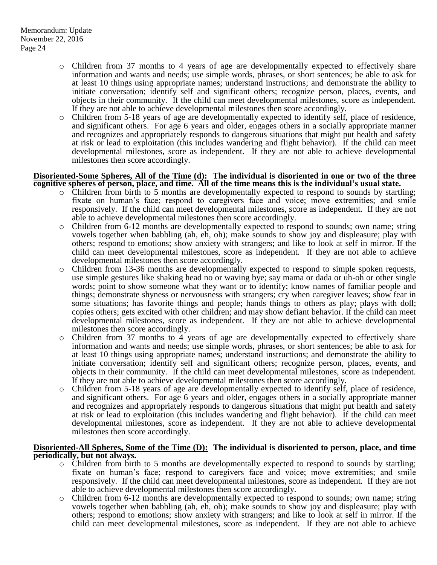- o Children from 37 months to 4 years of age are developmentally expected to effectively share information and wants and needs; use simple words, phrases, or short sentences; be able to ask for at least 10 things using appropriate names; understand instructions; and demonstrate the ability to initiate conversation; identify self and significant others; recognize person, places, events, and objects in their community. If the child can meet developmental milestones, score as independent. If they are not able to achieve developmental milestones then score accordingly.
- o Children from 5-18 years of age are developmentally expected to identify self, place of residence, and significant others. For age 6 years and older, engages others in a socially appropriate manner and recognizes and appropriately responds to dangerous situations that might put health and safety at risk or lead to exploitation (this includes wandering and flight behavior). If the child can meet developmental milestones, score as independent. If they are not able to achieve developmental milestones then score accordingly.

#### **Disoriented-Some Spheres, All of the Time (d): The individual is disoriented in one or two of the three cognitive spheres of person, place, and time. All of the time means this is the individual's usual state.**

- o Children from birth to 5 months are developmentally expected to respond to sounds by startling; fixate on human's face; respond to caregivers face and voice; move extremities; and smile responsively. If the child can meet developmental milestones, score as independent. If they are not able to achieve developmental milestones then score accordingly.
- o Children from 6-12 months are developmentally expected to respond to sounds; own name; string vowels together when babbling (ah, eh, oh); make sounds to show joy and displeasure; play with others; respond to emotions; show anxiety with strangers; and like to look at self in mirror. If the child can meet developmental milestones, score as independent. If they are not able to achieve developmental milestones then score accordingly.
- o Children from 13-36 months are developmentally expected to respond to simple spoken requests, use simple gestures like shaking head no or waving bye; say mama or dada or uh-oh or other single words; point to show someone what they want or to identify; know names of familiar people and things; demonstrate shyness or nervousness with strangers; cry when caregiver leaves; show fear in some situations; has favorite things and people; hands things to others as play; plays with doll; copies others; gets excited with other children; and may show defiant behavior. If the child can meet developmental milestones, score as independent. If they are not able to achieve developmental milestones then score accordingly.
- o Children from 37 months to 4 years of age are developmentally expected to effectively share information and wants and needs; use simple words, phrases, or short sentences; be able to ask for at least 10 things using appropriate names; understand instructions; and demonstrate the ability to initiate conversation; identify self and significant others; recognize person, places, events, and objects in their community. If the child can meet developmental milestones, score as independent. If they are not able to achieve developmental milestones then score accordingly.
- o Children from 5-18 years of age are developmentally expected to identify self, place of residence, and significant others. For age 6 years and older, engages others in a socially appropriate manner and recognizes and appropriately responds to dangerous situations that might put health and safety at risk or lead to exploitation (this includes wandering and flight behavior). If the child can meet developmental milestones, score as independent. If they are not able to achieve developmental milestones then score accordingly.

#### **Disoriented-All Spheres, Some of the Time (D): The individual is disoriented to person, place, and time periodically, but not always.**

- o Children from birth to 5 months are developmentally expected to respond to sounds by startling; fixate on human's face; respond to caregivers face and voice; move extremities; and smile responsively. If the child can meet developmental milestones, score as independent. If they are not able to achieve developmental milestones then score accordingly.
- o Children from 6-12 months are developmentally expected to respond to sounds; own name; string vowels together when babbling (ah, eh, oh); make sounds to show joy and displeasure; play with others; respond to emotions; show anxiety with strangers; and like to look at self in mirror. If the child can meet developmental milestones, score as independent. If they are not able to achieve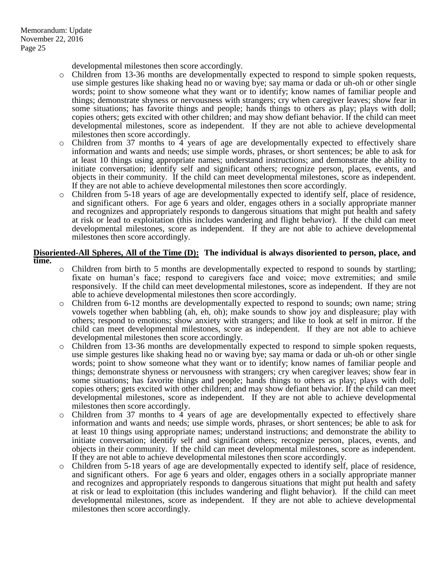developmental milestones then score accordingly.

- o Children from 13-36 months are developmentally expected to respond to simple spoken requests, use simple gestures like shaking head no or waving bye; say mama or dada or uh-oh or other single words; point to show someone what they want or to identify; know names of familiar people and things; demonstrate shyness or nervousness with strangers; cry when caregiver leaves; show fear in some situations; has favorite things and people; hands things to others as play; plays with doll; copies others; gets excited with other children; and may show defiant behavior. If the child can meet developmental milestones, score as independent. If they are not able to achieve developmental milestones then score accordingly.
- o Children from 37 months to 4 years of age are developmentally expected to effectively share information and wants and needs; use simple words, phrases, or short sentences; be able to ask for at least 10 things using appropriate names; understand instructions; and demonstrate the ability to initiate conversation; identify self and significant others; recognize person, places, events, and objects in their community. If the child can meet developmental milestones, score as independent. If they are not able to achieve developmental milestones then score accordingly.
- o Children from 5-18 years of age are developmentally expected to identify self, place of residence, and significant others. For age 6 years and older, engages others in a socially appropriate manner and recognizes and appropriately responds to dangerous situations that might put health and safety at risk or lead to exploitation (this includes wandering and flight behavior). If the child can meet developmental milestones, score as independent. If they are not able to achieve developmental milestones then score accordingly.

## **Disoriented-All Spheres, All of the Time (D): The individual is always disoriented to person, place, and time.**

- o Children from birth to 5 months are developmentally expected to respond to sounds by startling; fixate on human's face; respond to caregivers face and voice; move extremities; and smile responsively. If the child can meet developmental milestones, score as independent. If they are not able to achieve developmental milestones then score accordingly.
- o Children from 6-12 months are developmentally expected to respond to sounds; own name; string vowels together when babbling (ah, eh, oh); make sounds to show joy and displeasure; play with others; respond to emotions; show anxiety with strangers; and like to look at self in mirror. If the child can meet developmental milestones, score as independent. If they are not able to achieve developmental milestones then score accordingly.
- o Children from 13-36 months are developmentally expected to respond to simple spoken requests, use simple gestures like shaking head no or waving bye; say mama or dada or uh-oh or other single words; point to show someone what they want or to identify; know names of familiar people and things; demonstrate shyness or nervousness with strangers; cry when caregiver leaves; show fear in some situations; has favorite things and people; hands things to others as play; plays with doll; copies others; gets excited with other children; and may show defiant behavior. If the child can meet developmental milestones, score as independent. If they are not able to achieve developmental milestones then score accordingly.
- o Children from 37 months to 4 years of age are developmentally expected to effectively share information and wants and needs; use simple words, phrases, or short sentences; be able to ask for at least 10 things using appropriate names; understand instructions; and demonstrate the ability to initiate conversation; identify self and significant others; recognize person, places, events, and objects in their community. If the child can meet developmental milestones, score as independent. If they are not able to achieve developmental milestones then score accordingly.
- o Children from 5-18 years of age are developmentally expected to identify self, place of residence, and significant others. For age 6 years and older, engages others in a socially appropriate manner and recognizes and appropriately responds to dangerous situations that might put health and safety at risk or lead to exploitation (this includes wandering and flight behavior). If the child can meet developmental milestones, score as independent. If they are not able to achieve developmental milestones then score accordingly.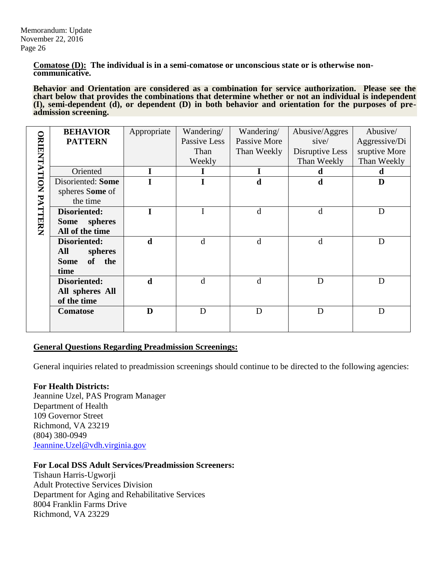**Comatose (D): The individual is in a semi-comatose or unconscious state or is otherwise noncommunicative.**

**Behavior and Orientation are considered as a combination for service authorization. Please see the chart below that provides the combinations that determine whether or not an individual is independent (I), semi-dependent (d), or dependent (D) in both behavior and orientation for the purposes of preadmission screening.** 

|                    | <b>BEHAVIOR</b>          | Appropriate | Wandering/   | Wandering/   | Abusive/Aggres  | Abusive/      |
|--------------------|--------------------------|-------------|--------------|--------------|-----------------|---------------|
|                    | <b>PATTERN</b>           |             | Passive Less | Passive More | sive/           | Aggressive/Di |
|                    |                          |             | Than         | Than Weekly  | Disruptive Less | sruptive More |
|                    |                          |             | Weekly       |              | Than Weekly     | Than Weekly   |
| <b>ORIENTATION</b> | Oriented                 |             |              |              | d               | d             |
|                    | Disoriented: Some        |             |              | d            | d               | D             |
|                    | spheres Some of          |             |              |              |                 |               |
|                    | the time                 |             |              |              |                 |               |
| PATTERN            | Disoriented:             |             |              | d            | d               | D             |
|                    | spheres<br><b>Some</b>   |             |              |              |                 |               |
|                    | All of the time          |             |              |              |                 |               |
|                    | Disoriented:             | d           | d            | d            | d               | D             |
|                    | All<br>spheres           |             |              |              |                 |               |
|                    | of<br>the<br><b>Some</b> |             |              |              |                 |               |
|                    | time                     |             |              |              |                 |               |
|                    | Disoriented:             | d           | d            | d            | D               | D             |
|                    | All spheres All          |             |              |              |                 |               |
|                    | of the time              |             |              |              |                 |               |
|                    | <b>Comatose</b>          | D           | D            | D            | D               | D             |
|                    |                          |             |              |              |                 |               |

## **General Questions Regarding Preadmission Screenings:**

General inquiries related to preadmission screenings should continue to be directed to the following agencies:

## **For Health Districts:**

Jeannine Uzel, PAS Program Manager Department of Health 109 Governor Street Richmond, VA 23219 (804) 380-0949 [Jeannine.Uzel@vdh.virginia.gov](mailto:Jeannine.Uzel@vdh.virginia.gov)

## **For Local DSS Adult Services/Preadmission Screeners:**

Tishaun Harris-Ugworji Adult Protective Services Division Department for Aging and Rehabilitative Services 8004 Franklin Farms Drive Richmond, VA 23229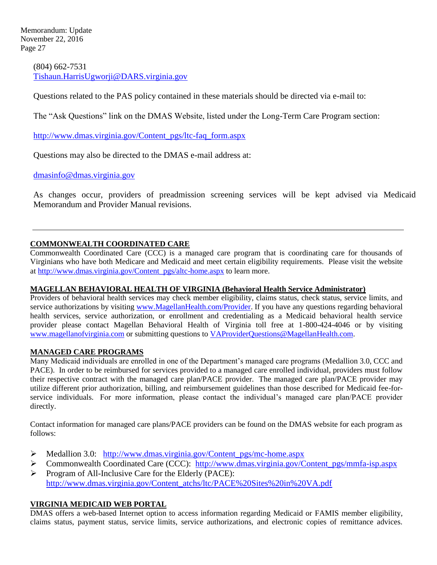Memorandum: Update November 22, 2016 Page 27

> (804) 662-7531 [Tishaun.HarrisUgworji@DARS.virginia.gov](mailto:Tishaun.HarrisUgworji@DARS.virginia.gov)

Questions related to the PAS policy contained in these materials should be directed via e-mail to:

The "Ask Questions" link on the DMAS Website, listed under the Long-Term Care Program section:

[http://www.dmas.virginia.gov/Content\\_pgs/ltc-faq\\_form.aspx](http://www.dmas.virginia.gov/Content_pgs/ltc-faq_form.aspx)

Questions may also be directed to the DMAS e-mail address at:

[dmasinfo@dmas.virginia.gov](mailto:dmasinfo@dmas.virginia.gov)

As changes occur, providers of preadmission screening services will be kept advised via Medicaid Memorandum and Provider Manual revisions.

#### **COMMONWEALTH COORDINATED CARE**

Commonwealth Coordinated Care (CCC) is a managed care program that is coordinating care for thousands of Virginians who have both Medicare and Medicaid and meet certain eligibility requirements. Please visit the website at [http://www.dmas.virginia.gov/Content\\_pgs/altc-home.aspx](http://www.dmas.virginia.gov/Content_pgs/altc-home.aspx) to learn more.

#### **MAGELLAN BEHAVIORAL HEALTH OF VIRGINIA (Behavioral Health Service Administrator)**

Providers of behavioral health services may check member eligibility, claims status, check status, service limits, and service authorizations by visiting [www.MagellanHealth.com/Provider.](http://www.magellanhealth.com/Provider) If you have any questions regarding behavioral health services, service authorization, or enrollment and credentialing as a Medicaid behavioral health service provider please contact Magellan Behavioral Health of Virginia toll free at 1-800-424-4046 or by visiting [www.magellanofvirginia.com](file:///C:/Users/vmh49622/AppData/Local/Microsoft/Windows/Temporary%20Internet%20Files/Content.Outlook/37DLTVL7/www.magellanofvirginia.com) or submitting questions to [VAProviderQuestions@MagellanHealth.com.](file:///C:/Users/vmh49622/AppData/Local/Microsoft/Windows/Temporary%20Internet%20Files/Content.Outlook/37DLTVL7/VAProviderQuestions@MagellanHealth.com)

#### **MANAGED CARE PROGRAMS**

Many Medicaid individuals are enrolled in one of the Department's managed care programs (Medallion 3.0, CCC and PACE). In order to be reimbursed for services provided to a managed care enrolled individual, providers must follow their respective contract with the managed care plan/PACE provider. The managed care plan/PACE provider may utilize different prior authorization, billing, and reimbursement guidelines than those described for Medicaid fee-forservice individuals. For more information, please contact the individual's managed care plan/PACE provider directly.

Contact information for managed care plans/PACE providers can be found on the DMAS website for each program as follows:

- $\triangleright$  Medallion 3.0: [http://www.dmas.virginia.gov/Content\\_pgs/mc-home.aspx](http://www.dmas.virginia.gov/Content_pgs/mc-home.aspx)
- ► Commonwealth Coordinated Care (CCC): [http://www.dmas.virginia.gov/Content\\_pgs/mmfa-isp.aspx](http://www.dmas.virginia.gov/Content_pgs/mmfa-isp.aspx)
- $\triangleright$  Program of All-Inclusive Care for the Elderly (PACE): [http://www.dmas.virginia.gov/Content\\_atchs/ltc/PACE%20Sites%20in%20VA.pdf](http://www.dmas.virginia.gov/Content_atchs/ltc/PACE%20Sites%20in%20VA.pdf)

#### **VIRGINIA MEDICAID WEB PORTAL**

DMAS offers a web-based Internet option to access information regarding Medicaid or FAMIS member eligibility, claims status, payment status, service limits, service authorizations, and electronic copies of remittance advices.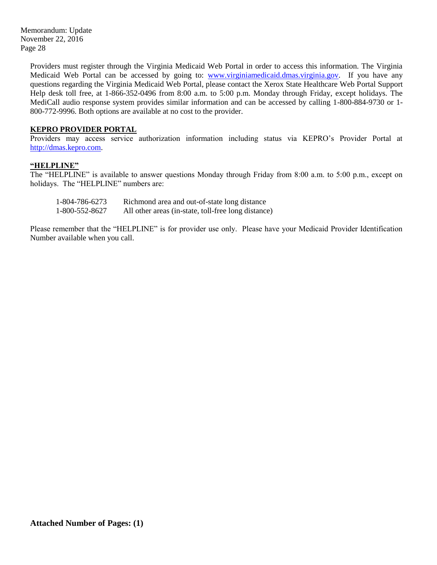Memorandum: Update November 22, 2016 Page 28

> Providers must register through the Virginia Medicaid Web Portal in order to access this information. The Virginia Medicaid Web Portal can be accessed by going to: [www.virginiamedicaid.dmas.virginia.gov.](http://www.virginiamedicaid.dmas.virginia.gov/) If you have any questions regarding the Virginia Medicaid Web Portal, please contact the Xerox State Healthcare Web Portal Support Help desk toll free, at 1-866-352-0496 from 8:00 a.m. to 5:00 p.m. Monday through Friday, except holidays. The MediCall audio response system provides similar information and can be accessed by calling 1-800-884-9730 or 1- 800-772-9996. Both options are available at no cost to the provider.

#### **KEPRO PROVIDER PORTAL**

Providers may access service authorization information including status via KEPRO's Provider Portal at [http://dmas.kepro.com.](http://dmas.kepro.com/)

#### **"HELPLINE"**

The "HELPLINE" is available to answer questions Monday through Friday from 8:00 a.m. to 5:00 p.m., except on holidays. The "HELPLINE" numbers are:

1-804-786-6273 Richmond area and out-of-state long distance 1-800-552-8627 All other areas (in-state, toll-free long distance)

Please remember that the "HELPLINE" is for provider use only. Please have your Medicaid Provider Identification Number available when you call.